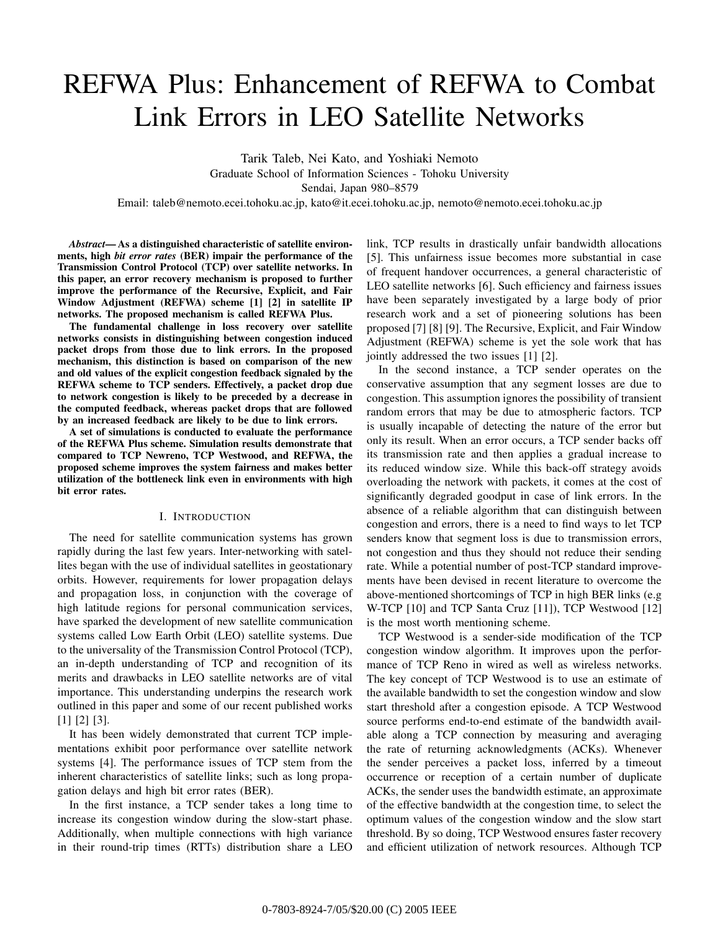# REFWA Plus: Enhancement of REFWA to Combat Link Errors in LEO Satellite Networks

Tarik Taleb, Nei Kato, and Yoshiaki Nemoto Graduate School of Information Sciences - Tohoku University Sendai, Japan 980–8579

Email: taleb@nemoto.ecei.tohoku.ac.jp, kato@it.ecei.tohoku.ac.jp, nemoto@nemoto.ecei.tohoku.ac.jp

*Abstract***— As a distinguished characteristic of satellite environments, high** *bit error rates* **(BER) impair the performance of the Transmission Control Protocol (TCP) over satellite networks. In this paper, an error recovery mechanism is proposed to further improve the performance of the Recursive, Explicit, and Fair Window Adjustment (REFWA) scheme [1] [2] in satellite IP networks. The proposed mechanism is called REFWA Plus.**

**The fundamental challenge in loss recovery over satellite networks consists in distinguishing between congestion induced packet drops from those due to link errors. In the proposed mechanism, this distinction is based on comparison of the new and old values of the explicit congestion feedback signaled by the REFWA scheme to TCP senders. Effectively, a packet drop due to network congestion is likely to be preceded by a decrease in the computed feedback, whereas packet drops that are followed by an increased feedback are likely to be due to link errors.**

**A set of simulations is conducted to evaluate the performance of the REFWA Plus scheme. Simulation results demonstrate that compared to TCP Newreno, TCP Westwood, and REFWA, the proposed scheme improves the system fairness and makes better utilization of the bottleneck link even in environments with high bit error rates.**

# I. INTRODUCTION

The need for satellite communication systems has grown rapidly during the last few years. Inter-networking with satellites began with the use of individual satellites in geostationary orbits. However, requirements for lower propagation delays and propagation loss, in conjunction with the coverage of high latitude regions for personal communication services, have sparked the development of new satellite communication systems called Low Earth Orbit (LEO) satellite systems. Due to the universality of the Transmission Control Protocol (TCP), an in-depth understanding of TCP and recognition of its merits and drawbacks in LEO satellite networks are of vital importance. This understanding underpins the research work outlined in this paper and some of our recent published works [1] [2] [3].

It has been widely demonstrated that current TCP implementations exhibit poor performance over satellite network systems [4]. The performance issues of TCP stem from the inherent characteristics of satellite links; such as long propagation delays and high bit error rates (BER).

In the first instance, a TCP sender takes a long time to increase its congestion window during the slow-start phase. Additionally, when multiple connections with high variance in their round-trip times (RTTs) distribution share a LEO link, TCP results in drastically unfair bandwidth allocations [5]. This unfairness issue becomes more substantial in case of frequent handover occurrences, a general characteristic of LEO satellite networks [6]. Such efficiency and fairness issues have been separately investigated by a large body of prior research work and a set of pioneering solutions has been proposed [7] [8] [9]. The Recursive, Explicit, and Fair Window Adjustment (REFWA) scheme is yet the sole work that has jointly addressed the two issues [1] [2].

In the second instance, a TCP sender operates on the conservative assumption that any segment losses are due to congestion. This assumption ignores the possibility of transient random errors that may be due to atmospheric factors. TCP is usually incapable of detecting the nature of the error but only its result. When an error occurs, a TCP sender backs off its transmission rate and then applies a gradual increase to its reduced window size. While this back-off strategy avoids overloading the network with packets, it comes at the cost of significantly degraded goodput in case of link errors. In the absence of a reliable algorithm that can distinguish between congestion and errors, there is a need to find ways to let TCP senders know that segment loss is due to transmission errors, not congestion and thus they should not reduce their sending rate. While a potential number of post-TCP standard improvements have been devised in recent literature to overcome the above-mentioned shortcomings of TCP in high BER links (e.g W-TCP [10] and TCP Santa Cruz [11]), TCP Westwood [12] is the most worth mentioning scheme.

TCP Westwood is a sender-side modification of the TCP congestion window algorithm. It improves upon the performance of TCP Reno in wired as well as wireless networks. The key concept of TCP Westwood is to use an estimate of the available bandwidth to set the congestion window and slow start threshold after a congestion episode. A TCP Westwood source performs end-to-end estimate of the bandwidth available along a TCP connection by measuring and averaging the rate of returning acknowledgments (ACKs). Whenever the sender perceives a packet loss, inferred by a timeout occurrence or reception of a certain number of duplicate ACKs, the sender uses the bandwidth estimate, an approximate of the effective bandwidth at the congestion time, to select the optimum values of the congestion window and the slow start threshold. By so doing, TCP Westwood ensures faster recovery and efficient utilization of network resources. Although TCP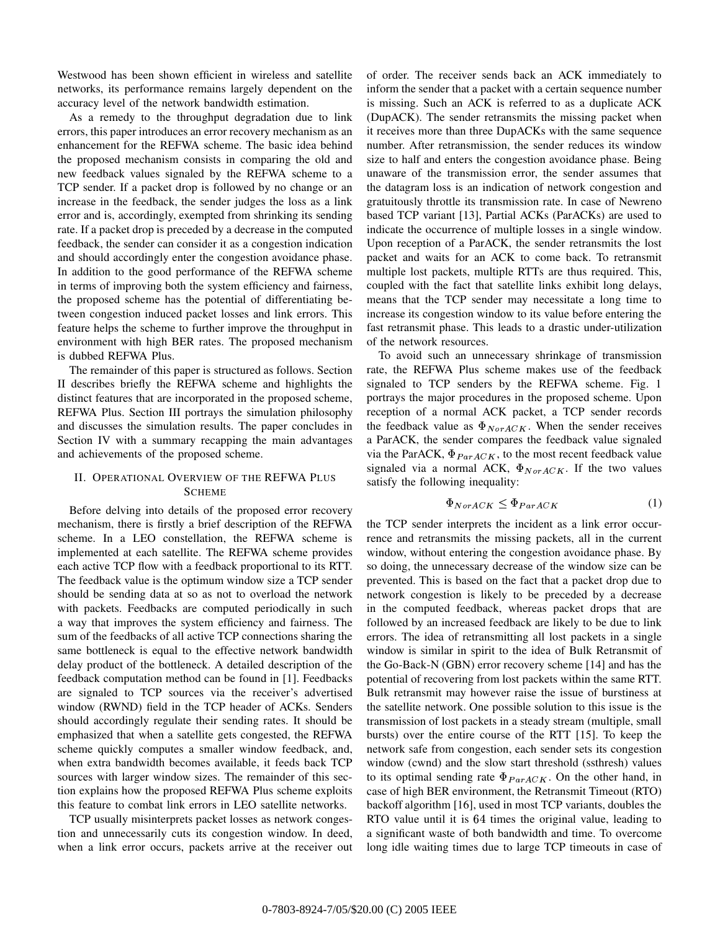Westwood has been shown efficient in wireless and satellite networks, its performance remains largely dependent on the accuracy level of the network bandwidth estimation.

As a remedy to the throughput degradation due to link errors, this paper introduces an error recovery mechanism as an enhancement for the REFWA scheme. The basic idea behind the proposed mechanism consists in comparing the old and new feedback values signaled by the REFWA scheme to a TCP sender. If a packet drop is followed by no change or an increase in the feedback, the sender judges the loss as a link error and is, accordingly, exempted from shrinking its sending rate. If a packet drop is preceded by a decrease in the computed feedback, the sender can consider it as a congestion indication and should accordingly enter the congestion avoidance phase. In addition to the good performance of the REFWA scheme in terms of improving both the system efficiency and fairness, the proposed scheme has the potential of differentiating between congestion induced packet losses and link errors. This feature helps the scheme to further improve the throughput in environment with high BER rates. The proposed mechanism is dubbed REFWA Plus.

The remainder of this paper is structured as follows. Section II describes briefly the REFWA scheme and highlights the distinct features that are incorporated in the proposed scheme, REFWA Plus. Section III portrays the simulation philosophy and discusses the simulation results. The paper concludes in Section IV with a summary recapping the main advantages and achievements of the proposed scheme.

# II. OPERATIONAL OVERVIEW OF THE REFWA PLUS **SCHEME**

Before delving into details of the proposed error recovery mechanism, there is firstly a brief description of the REFWA scheme. In a LEO constellation, the REFWA scheme is implemented at each satellite. The REFWA scheme provides each active TCP flow with a feedback proportional to its RTT. The feedback value is the optimum window size a TCP sender should be sending data at so as not to overload the network with packets. Feedbacks are computed periodically in such a way that improves the system efficiency and fairness. The sum of the feedbacks of all active TCP connections sharing the same bottleneck is equal to the effective network bandwidth delay product of the bottleneck. A detailed description of the feedback computation method can be found in [1]. Feedbacks are signaled to TCP sources via the receiver's advertised window (RWND) field in the TCP header of ACKs. Senders should accordingly regulate their sending rates. It should be emphasized that when a satellite gets congested, the REFWA scheme quickly computes a smaller window feedback, and, when extra bandwidth becomes available, it feeds back TCP sources with larger window sizes. The remainder of this section explains how the proposed REFWA Plus scheme exploits this feature to combat link errors in LEO satellite networks.

TCP usually misinterprets packet losses as network congestion and unnecessarily cuts its congestion window. In deed, when a link error occurs, packets arrive at the receiver out of order. The receiver sends back an ACK immediately to inform the sender that a packet with a certain sequence number is missing. Such an ACK is referred to as a duplicate ACK (DupACK). The sender retransmits the missing packet when it receives more than three DupACKs with the same sequence number. After retransmission, the sender reduces its window size to half and enters the congestion avoidance phase. Being unaware of the transmission error, the sender assumes that the datagram loss is an indication of network congestion and gratuitously throttle its transmission rate. In case of Newreno based TCP variant [13], Partial ACKs (ParACKs) are used to indicate the occurrence of multiple losses in a single window. Upon reception of a ParACK, the sender retransmits the lost packet and waits for an ACK to come back. To retransmit multiple lost packets, multiple RTTs are thus required. This, coupled with the fact that satellite links exhibit long delays, means that the TCP sender may necessitate a long time to increase its congestion window to its value before entering the fast retransmit phase. This leads to a drastic under-utilization of the network resources.

To avoid such an unnecessary shrinkage of transmission rate, the REFWA Plus scheme makes use of the feedback signaled to TCP senders by the REFWA scheme. Fig. 1 portrays the major procedures in the proposed scheme. Upon reception of a normal ACK packet, a TCP sender records the feedback value as  $\Phi_{NorACK}$ . When the sender receives a ParACK, the sender compares the feedback value signaled via the ParACK,  $\Phi_{ParACK}$ , to the most recent feedback value signaled via a normal ACK,  $\Phi_{NorACK}$ . If the two values satisfy the following inequality:

$$
\Phi_{NorACK} \leq \Phi_{ParACK} \tag{1}
$$

the TCP sender interprets the incident as a link error occurrence and retransmits the missing packets, all in the current window, without entering the congestion avoidance phase. By so doing, the unnecessary decrease of the window size can be prevented. This is based on the fact that a packet drop due to network congestion is likely to be preceded by a decrease in the computed feedback, whereas packet drops that are followed by an increased feedback are likely to be due to link errors. The idea of retransmitting all lost packets in a single window is similar in spirit to the idea of Bulk Retransmit of the Go-Back-N (GBN) error recovery scheme [14] and has the potential of recovering from lost packets within the same RTT. Bulk retransmit may however raise the issue of burstiness at the satellite network. One possible solution to this issue is the transmission of lost packets in a steady stream (multiple, small bursts) over the entire course of the RTT [15]. To keep the network safe from congestion, each sender sets its congestion window (cwnd) and the slow start threshold (ssthresh) values to its optimal sending rate  $\Phi_{ParACK}$ . On the other hand, in case of high BER environment, the Retransmit Timeout (RTO) backoff algorithm [16], used in most TCP variants, doubles the RTO value until it is 64 times the original value, leading to a significant waste of both bandwidth and time. To overcome long idle waiting times due to large TCP timeouts in case of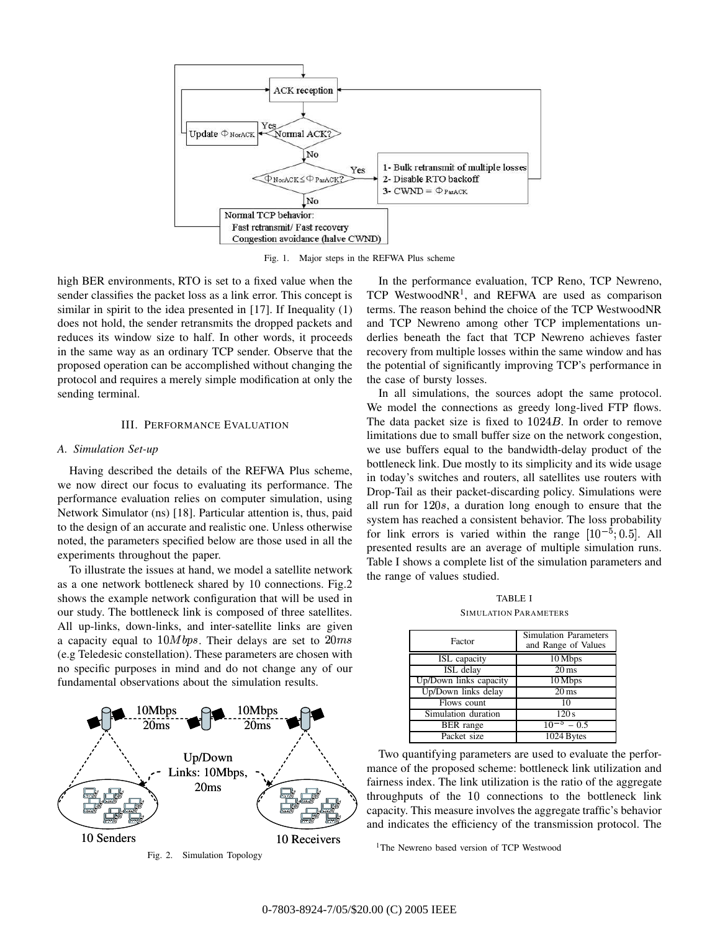

Fig. 1. Major steps in the REFWA Plus scheme

high BER environments, RTO is set to a fixed value when the sender classifies the packet loss as a link error. This concept is similar in spirit to the idea presented in [17]. If Inequality (1) does not hold, the sender retransmits the dropped packets and reduces its window size to half. In other words, it proceeds in the same way as an ordinary TCP sender. Observe that the proposed operation can be accomplished without changing the protocol and requires a merely simple modification at only the sending terminal.

## III. PERFORMANCE EVALUATION

#### *A. Simulation Set-up*

Having described the details of the REFWA Plus scheme, we now direct our focus to evaluating its performance. The performance evaluation relies on computer simulation, using Network Simulator (ns) [18]. Particular attention is, thus, paid to the design of an accurate and realistic one. Unless otherwise noted, the parameters specified below are those used in all the experiments throughout the paper.

To illustrate the issues at hand, we model a satellite network as a one network bottleneck shared by 10 connections. Fig.2 shows the example network configuration that will be used in our study. The bottleneck link is composed of three satellites. All up-links, down-links, and inter-satellite links are given a capacity equal to  $10Mbps$ . Their delays are set to  $20ms$ (e.g Teledesic constellation). These parameters are chosen with no specific purposes in mind and do not change any of our fundamental observations about the simulation results.



In the performance evaluation, TCP Reno, TCP Newreno, TCP WestwoodNR<sup>1</sup>, and REFWA are used as comparison terms. The reason behind the choice of the TCP WestwoodNR and TCP Newreno among other TCP implementations underlies beneath the fact that TCP Newreno achieves faster recovery from multiple losses within the same window and has the potential of significantly improving TCP's performance in the case of bursty losses.

In all simulations, the sources adopt the same protocol. We model the connections as greedy long-lived FTP flows. The data packet size is fixed to  $1024B$ . In order to remove limitations due to small buffer size on the network congestion, we use buffers equal to the bandwidth-delay product of the bottleneck link. Due mostly to its simplicity and its wide usage in today's switches and routers, all satellites use routers with Drop-Tail as their packet-discarding policy. Simulations were all run for  $120s$ , a duration long enough to ensure that the system has reached a consistent behavior. The loss probability for link errors is varied within the range  $[10^{-5};0.5]$ . All presented results are an average of multiple simulation runs. Table I shows a complete list of the simulation parameters and the range of values studied.

TABLE I SIMULATION PARAMETERS

| Factor                 | <b>Simulation Parameters</b><br>and Range of Values |
|------------------------|-----------------------------------------------------|
| ISL capacity           | 10 Mbps                                             |
| ISL delay              | $20 \,\mathrm{ms}$                                  |
| Up/Down links capacity | 10 Mbps                                             |
| Up/Down links delay    | $20 \,\mathrm{ms}$                                  |
| Flows count            | 10                                                  |
| Simulation duration    | 120s                                                |
| <b>BER</b> range       | $10^{-5} - 0.5$                                     |
| Packet size            | 1024 Bytes                                          |

Two quantifying parameters are used to evaluate the performance of the proposed scheme: bottleneck link utilization and fairness index. The link utilization is the ratio of the aggregate throughputs of the 10 connections to the bottleneck link capacity. This measure involves the aggregate traffic's behavior and indicates the efficiency of the transmission protocol. The

<sup>1</sup>The Newreno based version of TCP Westwood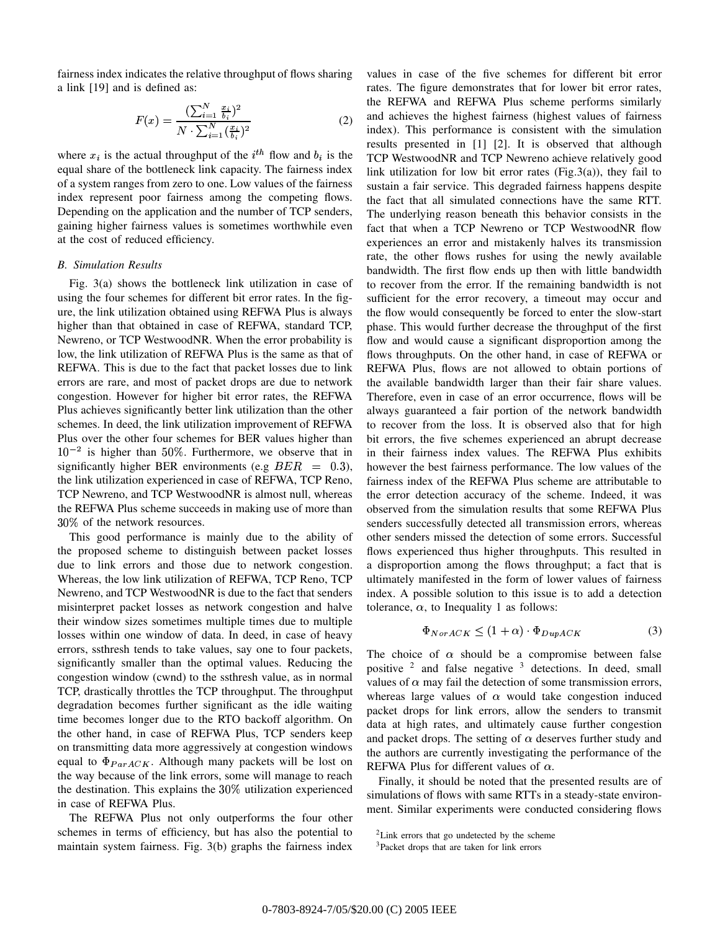fairness index indicates the relative throughput of flows sharing a link [19] and is defined as:

$$
F(x) = \frac{\left(\sum_{i=1}^{N} \frac{x_i}{b_i}\right)^2}{N \cdot \sum_{i=1}^{N} \left(\frac{x_i}{b_i}\right)^2}
$$
(2)

where  $x_i$  is the actual throughput of the  $i^{th}$  flow and  $b_i$  is the equal share of the bottleneck link capacity. The fairness index of a system ranges from zero to one. Low values of the fairness index represent poor fairness among the competing flows. Depending on the application and the number of TCP senders, gaining higher fairness values is sometimes worthwhile even at the cost of reduced efficiency.

# *B. Simulation Results*

Fig. 3(a) shows the bottleneck link utilization in case of using the four schemes for different bit error rates. In the figure, the link utilization obtained using REFWA Plus is always higher than that obtained in case of REFWA, standard TCP, Newreno, or TCP WestwoodNR. When the error probability is low, the link utilization of REFWA Plus is the same as that of REFWA. This is due to the fact that packet losses due to link errors are rare, and most of packet drops are due to network congestion. However for higher bit error rates, the REFWA Plus achieves significantly better link utilization than the other schemes. In deed, the link utilization improvement of REFWA Plus over the other four schemes for BER values higher than  $10^{-2}$  is higher than 50%. Furthermore, we observe that in significantly higher BER environments (e.g  $BER = 0.3$ ), howe the link utilization experienced in case of REFWA, TCP Reno, TCP Newreno, and TCP WestwoodNR is almost null, whereas the REFWA Plus scheme succeeds in making use of more than  $30\%$  of the network resources.

This good performance is mainly due to the ability of the proposed scheme to distinguish between packet losses due to link errors and those due to network congestion. Whereas, the low link utilization of REFWA, TCP Reno, TCP Newreno, and TCP WestwoodNR is due to the fact that senders misinterpret packet losses as network congestion and halve their window sizes sometimes multiple times due to multiple losses within one window of data. In deed, in case of heavy errors, ssthresh tends to take values, say one to four packets, significantly smaller than the optimal values. Reducing the congestion window (cwnd) to the ssthresh value, as in normal TCP, drastically throttles the TCP throughput. The throughput degradation becomes further significant as the idle waiting time becomes longer due to the RTO backoff algorithm. On the other hand, in case of REFWA Plus, TCP senders keep on transmitting data more aggressively at congestion windows equal to  $\Phi_{ParACK}$ . Although many packets will be lost on the way because of the link errors, some will manage to reach the destination. This explains the  $30\%$  utilization experienced in case of REFWA Plus.

The REFWA Plus not only outperforms the four other schemes in terms of efficiency, but has also the potential to maintain system fairness. Fig. 3(b) graphs the fairness index values in case of the five schemes for different bit error rates. The figure demonstrates that for lower bit error rates, the REFWA and REFWA Plus scheme performs similarly and achieves the highest fairness (highest values of fairness index). This performance is consistent with the simulation results presented in [1] [2]. It is observed that although TCP WestwoodNR and TCP Newreno achieve relatively good link utilization for low bit error rates (Fig.3(a)), they fail to sustain a fair service. This degraded fairness happens despite the fact that all simulated connections have the same RTT. The underlying reason beneath this behavior consists in the fact that when a TCP Newreno or TCP WestwoodNR flow experiences an error and mistakenly halves its transmission rate, the other flows rushes for using the newly available bandwidth. The first flow ends up then with little bandwidth to recover from the error. If the remaining bandwidth is not sufficient for the error recovery, a timeout may occur and the flow would consequently be forced to enter the slow-start phase. This would further decrease the throughput of the first flow and would cause a significant disproportion among the flows throughputs. On the other hand, in case of REFWA or REFWA Plus, flows are not allowed to obtain portions of the available bandwidth larger than their fair share values. Therefore, even in case of an error occurrence, flows will be always guaranteed a fair portion of the network bandwidth to recover from the loss. It is observed also that for high bit errors, the five schemes experienced an abrupt decrease in their fairness index values. The REFWA Plus exhibits however the best fairness performance. The low values of the fairness index of the REFWA Plus scheme are attributable to the error detection accuracy of the scheme. Indeed, it was observed from the simulation results that some REFWA Plus senders successfully detected all transmission errors, whereas other senders missed the detection of some errors. Successful flows experienced thus higher throughputs. This resulted in a disproportion among the flows throughput; a fact that is ultimately manifested in the form of lower values of fairness index. A possible solution to this issue is to add a detection tolerance,  $\alpha$ , to Inequality 1 as follows:

$$
\Phi_{NorACK} \le (1+\alpha) \cdot \Phi_{DupACK} \tag{3}
$$

The choice of  $\alpha$  should be a compromise between false positive  $2$  and false negative  $3$  detections. In deed, small values of  $\alpha$  may fail the detection of some transmission errors, whereas large values of  $\alpha$  would take congestion induced packet drops for link errors, allow the senders to transmit data at high rates, and ultimately cause further congestion and packet drops. The setting of  $\alpha$  deserves further study and the authors are currently investigating the performance of the REFWA Plus for different values of  $\alpha$ .

Finally, it should be noted that the presented results are of simulations of flows with same RTTs in a steady-state environment. Similar experiments were conducted considering flows

<sup>&</sup>lt;sup>2</sup>Link errors that go undetected by the scheme

<sup>3</sup>Packet drops that are taken for link errors